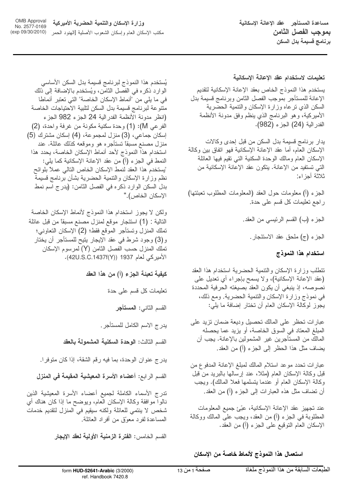OMB Approval<br>No. 2577-0169 وزارة الإسكان والتنمية الحضرية الأميركية (exp 09/30/2010) .<br>مكتب الإسكان العام و إسكان الشعوب الأصلية [الهنود الحمر

مساعدة المستأجر حقد الاعانة الاسكانية بموجب الفصل الثامن برنامج قسيمة بدل السكن

يُستخدم هذا النموذج لبرنامج قسيمة بدل السكن الأساسي الوارد ذكره في الفصل الثامن، ويُستخدم بالإضافة إلى ذلك في ما يلي من "أنماط الإسكان الخاصة" التي تعتبر أنماطا منتوعة لبرنامج قسيمة بدل السكن لتلبية الاحتياجات الخاصة (انظر مدونة الأنظمة الفدرالية 24 الجزء 982 الجزء الفرعي M): (1) وحدة سكنية مكونة من غرفة واحدة، (2) إسكان جماعي، (3) منزل لمجموعة، (4) إسكان مشترك (5) منزل مصنع مسبقاً نستأجره هو وموقعه كذلك عائلة. عند استخدام هذا النموذج لأحد أنماط الإسكان الخاصة، يحدد هذا النمط في الجزء (أ) من عقد الإعانة الإسكانية كما يلي: "يستخدم هذا العقد لنمط الإسكان الخاص النالي عملاً بلوائح نظم وزارة الإسكان والنتمية الحضرية بشأن برنامج قسيمة بدل السكن الوارد ذكره في الفصل الثامن: (يدرج اسم نمط الإسكان الخاص)."

ولكن لا يجوز استخدام هذا النموذج لأنماط الإسكان الخاصة التالية : (1) استئجار موقع لمنزل مصنع مسبقًا من قبل عائلة تملك المنزل وتستأجر الموقع فقط؛ (2) الإسكان التعاوني؛ و (3) وجود شرط في عقد الإيجار ينيح للمستأجر أن يختار تملك المنزل حسب الفصل الثامن (Y) لمرسوم الإسكان الأميركي لعام 1937 (42U.S.C.1437f(Y)).

كيفية تعبئة الجزء (أ) من هذا العقد

تعليمات كل قسم على حدة

القسم الثاني: ا**لمستأجر** 

بدر ج الاسم الكامل للمستأجر .

القسم الثالث: الوحدة السكنية المشمولة بالعقد

يدرج عنوان الوحدة، بما فيه رقم الشقة، إذا كان متوفرا.

القسم الرابع: أعضاء الأسرة المعيشية المقيمة في المنزل

تدرج الأسماء الكاملة لجميع أعضاء الأسرة المعيشية الذين نالوا موافقة وكالة الإسكان العام، ويوضح ما إذا كان هناك أي شخص لا ينتمي للعائلة ولكنه سيقيم في المنزل لنقديم خدمات المساعدة لفرد معوّق من أفراد العائلة.

القسم الخامس: الفترة الزمنية الأولية لعقد الإيجار

تعليمات لاستخدام عقد الإعانة الإسكانية

يستخدم هذا النموذج الخاص بعقد الإعانة الإسكانية لتقديم الإعانة للمستأجر بموجب الفصل الثامن وبرنامج فسيمة بدل السكن الذى نرعاه وزارة الإسكان والنتمية الحضرية الأميركية، وهو البرنامج الذي ينظم وفق مدونة الأنظمة الفدر الية (24) الجزء (982).

يدار برنامج قسيمة بدل السكن من قبل إحدى وكالات الإسكان العام، أما عقد الإعانة الإسكانية فهو انفاق بين وكالة الإسكان العام ومالك الوحدة السكنية التبي نقيم فيها العائلة التي تستفيد من الإعانة. يتكون عقد الإعانة الإسكانية من ثلاثة أجز اء:

الْجَزِءِ (أ) معلومات حول العقد (المعلومات المطلوب تعبئتها) راجع نعليمات كل قسم على حدة.

الجزء (ب) القسم الرئيسي من العقد.

الجزء (ج) ملحق عقد الاستئجار .

# استخدام هذا النموذج

تتطلب وزارة الإسكان والتتمية الحضرية استخدام هذا العقد (عقد الإعانة الإسكانية)، ولا يسمح بإجراء أي تعديل على نصوصه، إذ ينبغي أن يكون العقد بصيغته الحرفية المحددة في نموذج وزارة الإسكان والنتمية الحضرية. ومع ذلك، يجوز لوكالة الإسكان العام أن تختار إضافة ما يلي:

عبارات نحظر على المالك نحصيل وديعة ضمان نزيد على المبلغ المعتاد في السوق الخاصة، أو يزيد عما يحصله المالك من المستأجرين غير المشمولين بالإعانة. يجب أن بضاف مثل هذا الحظر إلى الجز ء (أ) من العقد.

عبار ات تحدد مو عد استلام المالك لمبلغ الإعانة المدفوع من قبل وكالة الإسكان العام (مثلا، عند إرسالها بالبريد من قبل وكالَّة الإسكان العام أو عندما يتسلَّمها فعلا المالك). ويجب أن نضاف مثل هذه العبارات إلى الجزء (أ) من العقد.

عند تجهيز عقد الإعانة الإسكانية، عبّىً جميع المعلومات المطلوبة في الـجز ء (أ) من الـعقد، ويـجب علـي المـالك ووكـالـة الإسكان العام التوقيع على الجزء (أ) من العقد.

## استعمال هذا النموذج لأنماط خاصة من الإسكان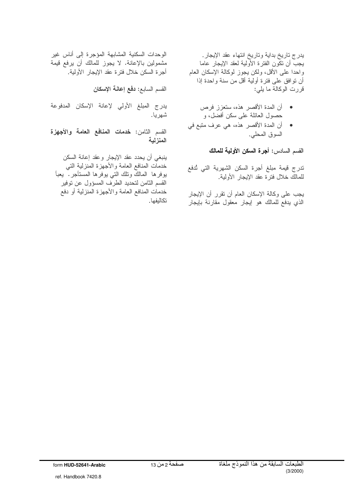يدرج تاريخ بداية وتاريخ انتهاء عقد الإيجار. يجبِّ أن تكَّون الفترة الأَولية لعقد الإيجار عاما واحدًا على الأقل، ولكن يجوز لوكالة الإسكان العام أن نوافق على فترة أولية أقل من سنة واحدة إذا قررت الوكالة ما يلي:

- أن المدة الأقصر هذه، ستعزز فرص حصول العائلة على سكن أفضل، و
- أن المدة الأقصر هذه، هي عرف متبع في السوق المحلي.

القسم السادس: أجرة السكن الأولية للمالك

تدرج قيمة مبلغ أجرة السكن الشهرية التي تُدفع للمالك خلال فترة عقد الإيجار الأولية.

يجب على وكالة الإسكان العام أن نقرر أن الإيجار الذي يدفع للمالك هو إيجار معقول مقارنة بإيجار

الوحدات السكنية المشابهة المؤجرة إلى أناس غير مشمولين بالإعانة. لا يجوز للمالك أن يرفع قيمة أجرة السكن خلال فترة عقد الإيجار الأولية.

القسم السابع: دفع إعانة الإسكان

يدرج المبلغ الأولي لإعانة الإسكان المدفوعة شهريا.

القسم الثامن: **خدمات المنافع العامة والأجهزة** المنزلية

ينبغي أن يحدد عقد الإيجار وعقد إعانة السكن خدمات المنافع العامة والأجهزة المنزلية التي بوفرها المالك ونلك التي بوفرها المستأجر. يعبأ القسم الثامن لتحديد الطرف المسؤول عن توفير خدمات المنافع العامة والأجهزة المنزلية أو دفع تكاليفها.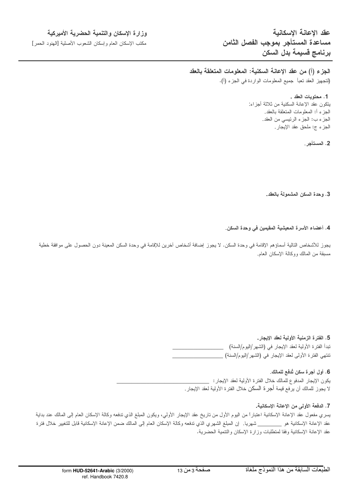عقد الاعانة الاسكانية مساعدة المستأجر بموجب الفصل الثامن برنامج قسيمة بدل السكن

### وزارة الإسكان والتنمية الحضرية الأميركية

مكتب الإسكان العام وإسكان الشعوب الأصلية [الهنود الحمر ]

الجزء (أ) من عقد الإعانة السكنية: المعلومات المتعلقة بالعقد (لتجهيز العقد تعبأ جميع المعلومات الواردة في الجزء (أ).

> 1. محتويات العقد . يتكون عقد الإعانة السكنية من ثلاثة أجزاء: الـجزء أ: المعلومات المنعلقة بـالـعقد. الجزء ب: الجزء الرئيسي من العقد. الجزء ج: ملحق عقد الإيجار .

> > 2. المستأجر .

3. وحدة السكن المشمولة بالعقد.

#### 4. أعضاء الأسرة المعيشية المقيمين في وحدة السكن.

يجوز للأشخاص التالية أسماؤهم الإقامة في وحدة السكن. لا يجوز إضافة أشخاص آخرين للإقامة في وحدة السكن المعينة دون الحصول على موافقة خطية مسبقة من المالك ووكالة الإسكان العام.

#### 5. الفترة الزمنية الأولية لعقد الإيجار.

تبدأ الفترة الأولية لعقد الإيجار في (الشهر/اليوم/السنة) نتتهي الفترة الأولى لعقد الإيجار في (الشهر/اليوم/السنة) \_\_

### 6. أول أجرة سكن تُدفع للمالك.

يكون الإيجار المدفوع للمالك خلال الفترة الأولية لعقد الإيجار : ﴿ لا يجوز للمالك أن يرفع قيمة أجرة السكن خلال الفترة الأولية لعقد الإيجار .

#### 7. الدفعة الأولى من الإعانة الإسكانية.

يسري مفعول عقد الإعانة الإسكانية اعتباراً من اليوم الأول من ناريخ عقد الإيجار الأولى، ويكون المبلغ الذي ندفعه وكالة الإسكان العام إلى المالك عند بداية عقد الإعانة الإسكانية هو \_\_\_\_\_\_\_ شهريا. إن المبلغ الشهري الذي ندفعه وكالة الإسكان العام إلى المالك ضمن الإعانة الإسكانية قابل للتغيير خلال فترة عقد الإعانة الإسكانية وفقا لمتطلبات وزارة الإسكان والتتمية الحضرية.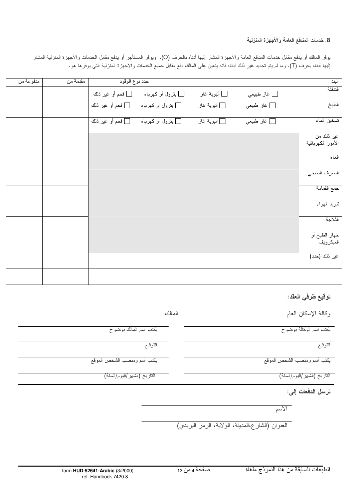### 8. خدمات المنافع العامة والأجهزة المنزلية

يوفر المالك أو يدفع مقابل خدمات المنافع العامة والأجهزة المشار إليها أدناه بالحرف (O). ويوفر المستأجر أو يدفع مقابل الخدمات والأجهزة المنزلية المشار إليها أدناه بحرف (T). وما لم يتم تحديد غير ذلك أدناه فانه يتعين على المالك دفع مقابل جميع الخدمات والأجهزة المنزلية التي يوفرها هو .

| مدفوعة من | مقدمة من | حدد نوع الوقود             |                                |                             | البند       |                                 |
|-----------|----------|----------------------------|--------------------------------|-----------------------------|-------------|---------------------------------|
|           |          | □ فحم أو غير ذلك           | □ بنزول أو كهرباء              | _ <b>_</b> أنبوبة غاز       | _ غاز طبيعي | الندفئة                         |
|           |          | _ <b>] فح</b> م أو غير ذلك | <mark>∐ بنزول أو كهرباء</mark> | _ <mark>_</mark> أنبوبة غاز | _ غاز طبيعي | الطبخ                           |
|           |          |                            |                                | _ <b>_</b> أنبوبة غاز       | _ غاز طبيعي | تسخين الماء                     |
|           |          |                            |                                |                             |             | غير ذلك من<br>الأمور الكهربائية |
|           |          |                            |                                |                             |             | الماء                           |
|           |          |                            |                                |                             |             | الصرف الصحي                     |
|           |          |                            |                                |                             |             | جمع القمامة                     |
|           |          |                            |                                |                             |             | تبريد الهواء                    |
|           |          |                            |                                |                             |             | الثلاجة                         |
|           |          |                            |                                |                             |             | جهاز الطبخ أو<br>الميكرويف      |
|           |          |                            |                                |                             |             | غير ناك (حدد)                   |
|           |          |                            |                                |                             |             |                                 |

### توقيع طرفي العقد:

| المالك<br>وكالة الإسكان العام                    |                             |
|--------------------------------------------------|-----------------------------|
| يكتب أسم الوكالة بوضوح                           | يكتب أسم المالك بوضوح       |
| التوقيع                                          | التوقيع                     |
| يكتب أسم ومنصب الشخص الموقع                      | يكتب أسم ومنصب الشخص الموقع |
| الناريخ (الشهر/اليوم/السنة)                      | التاريخ (الشهر/اليوم/السنة) |
| ترسل الدفعات إلى:                                |                             |
| الأسم                                            |                             |
| العنوان (الشارع،المدينة، الولاية، الرمز البريدي) |                             |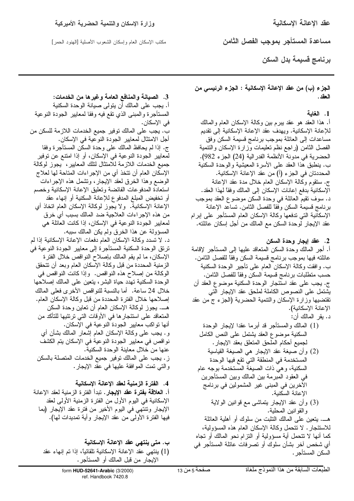عقد الإعانة الإسكانية

مكتب الإسكان العام وإسكان الشعوب الأصلية [المهنود الحمر]

مساعدة المستاجر بموجب الفصل الثامن

برنامج قسيمة بدل السكن

الجزء (ب) من عقد الإعانــة الإسكانيــة : الجزء الرئيســى من العقد .

### 1. الغاية

أ. هذا العقد هو عقد ببرح بين وكالة الإسكان العام والمالك للإعانة الإسكانية. ويهدف عقد الإعانة الإسكانية إلى نقديم مساعدات إلىي العائلة بموجب برنامج قسيمة السكن وفق الفصل الثامن (راجع نظم نعليمات وزارة الإسكان والنتمية الحضرية في مدونة الأنظمة الفدرالية (24) الجزء 982). ب. ينطبق هذا العقد على الأسرة المعيشية والوحدة السكنية المحددتان في الجزء (أ) من عقد الإعانة الإسكانية. ج. سنقوم وكالَّة الإسكان العام خلال مدة عقد الإعانـة الإسكانية بدفع إعانات الإسكان إلى المالك وفقًا لهذا العقد. د. سوف نقيم العائلة في وحدة السكن موضوع العقد بموجب برنامج قسيمة السكن وفقاً للفصل الثامن. تساعد الإعانة الإسكانية التي تدفعها وكالة الإسكان العام المستأجر على إبرام عقد الإيجار لوحدة السكن مع المالك من أجل إسكان عائلته.

2. عقد إيجار وحدة السكن أ. أجر المالك وحدة السكن المنعاقد عليها إلى المستأجر لإقامة عائلته فيها بموجب برنامج قسيمة السكن وفقا للفصل الثامن. ب. وافقت وكالة الإسكان العام على نأجير الوحدة السكنية حسب منطلبات برنامج قسيمة السكن وفقاً للفصل الثامن. ج. يجب على عقد استَئجار الوحدة السكنية موضوع العقد أن يشتمل على النصوص الكاملة لملحق عقد الإيجار الَّتى نقتضيها وزارة الإسكان والنتمية الحضرية (الجزء ج من عقد الإعانة الإسكانية).

- د. يقر المالك أن: (1) المالك والمستأجر قد أبرما عقدا لإيجار الوحدة السكنية موضوع العقد يشتمل علىي النص الكامل لجميع أحكام الملحق المتعلق بعقد الإيجار . (2) وأن صيغة عقد الإيجار هي الصيغة القياسية المستخدمة في المنطقة التي تقع فيها الوحدة السكنية، وهي ذات الصيغة المستخدمة بوجه عام في العقود المبرمة بين المالك وبين المستأجرين الأخرين في المبنى غير المشمولين في برنامج الإعانة السكنية.
	- (3) وأن عقد الإيجار يتماشى مع قوانين الولاية والقوانين المحلية.

هــــ. ينعين علـي المـالك النثبت من سلوك أو أهلية الـعائلـة للاستئجار . لا نتحمل وكالة الإسكان العام هذه المسؤولية، كما أنها لا نتحمل أية مسؤولية أو النزام نحو المالك أو تجاه أي شخص أخر بشأن سلوك أو نصرفات عائلة المستأجر في السكن المستأجر .

3. الصيانـة والمنـافـع الـعامـة وغير ها من الـخدمات: أ. يجب على المالك أن يتولى صبانة الوحدة السكنية المستأجرة والمبنى الذي نقع فيه وفقا لمعايير الجودة النوعية في الإسكان. ب. يجب على المالك توفير جميع الخدمات اللازمة للسكن من أجل الامتثال لمعايير الجودة النوعية في الإسكان. ج. إذا لم يحافظ المالك على وحدة السكن المستأجر ة وفقا لمعايير الجودة النوعية في الإسكان، أو إذا امتنع عن توفير جميع الخدمات اللازمة للامتثال لتلك المعايير، يجوز لوكالة الإسكان العام أن نتخذ أي من الإجراءات المتاحة لها لعلاج الوضع وهذا الخرق لعقد الإيجار، وتشمل هذه الإجراءات استعادة المدفوعات الفائضة وتعليق الإعانة الإسكانية وخصم أو تخفيض المبلغ المدفوع للإعانة السكنية أو إنهاء عقد الإعانة الإسكانية. ولا يجوز لوكالة الإسكان العام اتخاذ أي من هذه الإجراءات العلاجية ضد المالك بسبب أي خرق لمعايير الجودة النوعية في الإسكان، إذا كانت العائلة هي المسؤولة عن هذا الخرق ولم يكن المالك سببه. د. لا نسدد وكالة الإسكان العام دفعات الإعانة الإسكانية إذا لم ترتق الوحدة السكنية المستأجرة إلى معايير الجودة النوعية في الإسكان، ما لم يقم المالك بإصلاح النواقص خلال الفترة الزمنية المحددة من قبل وكالة الإسكان العام وبعد أن نتحقق الوكالة من إصلاح هذه النواقص. وإذا كانت النواقص في الوحدة السكنية تهدد حياة البشر، بتعين علىي المالك إصلاحها خلال 24 ساعة. أما بالنسبة للنو اقص الأخر ي فعلى المالك إصلاحها خلال الفترة المحددة من قبل وكالة الإسكان العام. هــــ. يجوز لوكالـة الإسكان الـعام أن نـعاين وحدة السكن المتعاقد على استئجارها في الأوقات التي ترتئيها للتأكد من أنها نواكب معايير الجودة النوعية في الإسكان. و . يجب على وكالة الإسكان العام إشعار المالك بشأن أي نواقص في معايير الجودة النوعية في الإسكان يتم الكشف عنها من خلال معاينة الوحدة السكنية. ز . يجب على المالك نوفير جميع الخدمات المتصلة بالسكن والنبي نمت الموافقة عليها في عقد الإيجار.

4. الفترة الزمنية لعقد الاعانة الاسكانية أ. ا**لـعلاقة بفترة عقد الإيجار** . تبدأ الفترة الزمنية لعقد الإعانة الإسكانية في اليوم الأول من الفترة الزمنية الأولى لعقد الإيجار وتتتهي في اليوم الأخير من فترة عقد الإيجار (بما فيها الفترة الأولى من عقد الإيجار وأية تمديدات لمها).

ب. متى ينتهى عقد الإعانة الإسكانية (1) بِنتهى عقد الإعانة الإسكانية تلقائياً، إذا تم إنهاء عقد الإيجار من قبل المالك أو المستأجر .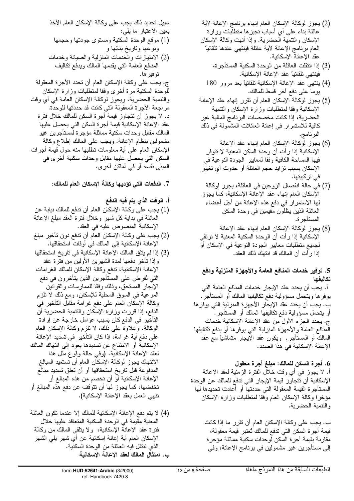- (2) يجوز لوكالة الإسكان العام إنهاء برنامج الإعانة لأية عائلة بناء على أي أسباب نجبزها منطلبات وزارة الإسكان والنتمية الحضرية. وإذا أنهت وكالة الإسكان العام برنامج الإعانة لأية عائلة فينتهى عندها نلقائيا عقد الإعانة الإسكانية.
	- (3) إذا انتقلت العائلة من الوحدة السكنية المستأجرة، فينتهي تلقائياً عقد الإعانة الإسكانية.
	- (4) بنتهى عقد الإعانة الإسكانية تلقائياً بعد مرور 180 يوما على دفع آخر قسط للمالك.
- (5) يجوز لوكالة الإسكان العام أن نقرر إنهاء عقد الإعانة الإسكانية وفقا لمنطلبات وزارة الإسكان والنتمية الحضرية، إذا كانت مخصصات البرنامج المالية غير كافية للاستمرار في إعانة العائلات المشمولة في ذلك البرنامج.
- (6) يجوز لوكالة الإسكان العام إنهاء عقد الإعانة الإسكانية إذا رأت أن وحدة السكن المعنية لا نتوفر فيها المساحة الكافية وفقا لمعابير الجودة النوعية في الإسكان بسبب نزايد حجم العائلة أو حدوث أي نغيير فی ترکیبتها.
- (7) في حالة انفصال الزوجين في العائلة، يجوز لوكالة الإسكان العام إنهاء عقد الإعانة الإسكانية، كما يجوز لمها الاستمرار في دفع هذه الإعانة من أجل أعضاء العائلة الذين يظلون مقيمين في وحدة السكن المستأجر ة.
- (8) يجوز لوكالة الإسكان العام إنهاء عقد الإعانة الإسكانية إذا رأت أن الوحدة السكنية المعنية لا نرتقي لجميع منطلبات معايير الجودة النوعية في الإسكان أو إذا رأَّت أن المالك قد انتهك ذلك العقد.

# 5. توفير خدمات المنافع العامة والأجهزة المنزلية ودفع تكالنفها

أ. يجب أن يحدد عقد الإيجار خدمات المنافع العامة التي يوفر ها وينحمل مسؤولية دفع نكاليفها المالك أو المستأجر . ب. يجب أن يحدد عقد الإيجار الأجهزة المنزلية التي يوفر ها أو يتحمل مسؤولية دفع نكاليفها المالك أو المستأجر. ج. يحدد الـجزء الأول من عقد الإعانة الإسكانية خدمات المنافع العامة والأجهزة المنزلية التي يوفرها أو يدفع نكاليفها المالك أو المستأجر. ويكون عقد الإيجار متماشيًا مع عقد الإعانة الإسكانية في هذا الصدد.

6. أجرة السكن للمالك: مبلغ أجرة معقول أ. لا يجوز فـي أي وقت خلال الفترة الزمنية لـعقد الإعانة الإسكانية أن تتجاوز قيمة الإيجار التي تدفع للمالك عن الوحدة المستأجرة القيمة المعقولة التي حددتها أو أعادت تحديدها لمها مؤخرا وكالة الإسكان العام وفقا لمنطلبات وزارة الإسكان والنتمية الحضرية.

ب. يجب على وكالة الإسكان العام أن نقرر ما إذا كانت قيمة أجرة السكن التي تدفع للمالك تُعتبر قيمة معقولة، مقارنة بقيمة أجرة السكن لوحدات سكنية مماثلة مؤجرة إلى مستأجرين غير مشمولين في برنامج الإعانة، وفي

سبيل تحديد ذلك يجب على وكالة الإسكان العام الأخذ بعين الاعتبار ما يلبي: (1) موقع الوحدة السكنية ومستوى جودتها وحجمها

ونوعها وتاريخ بنائها و (2) الامتيازات والخدمات المنزلية والصبانة وخدمات المنافع العامة التي يقدمها المالك ويدفع نكاليف

توفير ها. ج. يجب على وكالة الإسكان العام أن تحدد الأجرة المعقولة للوحدة السكنية مرة أخرى وفقا لمتطلبات وزارة الإسكان والنتمية الحضرية. ويجوز لوكالة الإسكان العامة في أي وقت مراجعة الأجرة المعقولة التي كانت قد حددتها للوحدة. د. لا يجوز أن نتجاوز قيمة أجرة السكن للمالك خلال فترة عقد الإعانة الإسكانية قيمة أجرة السكن التي يحصل عليها المالك مقابل وحدات سكنية مماثلة مؤجرة لمستأجرين غير مشمولين بنظام الإعانة. ويجب على المالك إطلاع وكالة الإسكان العام على أية معلومات نطلبها منه حول قيمة أجرات السكن التـي يـحصـل عليـها مقابل وحدات سكنية أخر ى فـي المبنى نفسه أو في أماكن أخرى.

# 7. الدفعات التي تؤديها وكالـة الإسكان الـعام للمالك:

# أ. الوقت الذي يتم فيه الدفع

- (1) يجب على وكالة الإسكان العام أن ندفع للمالك نيابة عن العائلة في بداية كل شهر وخلال فترة العقد مبلغ الإعانة الإسكانية المنصوص عليه في العقد.
- (2) يجب على وكالة الإسكان العام أن ندفع دون نأخير مبلغ الإعانة الإسكانية إلى المالك في أوقات استحقاقها.
- (3) إذا لم يتلق المالك الإعانة الإسكانية في تاريخ استحقاقها وإذا نأخر دفعها لمدة الشهرين الأولين من فترة عقد الإعانة الإسكانية، ندفع وكالة الإسكان للمالك الغرامات التي تُفرض على المستأجرين الذين يتأخرون في دفع الإيجار المستحق، وذلك وفقا للممارسات والقوانين المرعية في السوق المحلية للإسكان، ومع ذلك لا نلزم وكالة الإسكان العام على دفع غرامة مقابل الناخير في الدفع، إذا قررت وزارة الإسكان والنتمية الحضرية أن التأخير في الدفع كان بسبب عوامل خارجة عن إرادة الوكالة. وعلاوة على ذلك، لا تلزم وكالة الإسكان العام على دفع أية غرامة، إذا كان التأخير في تسديد الإعانة الإسكانية أو الامتناع عن تسديدها يعود إلى انتهاك المالك لعقد الإعانـة الإسكانيّة. (وفي حالـة وقوع مثل هذا الانتهاك يجوز لوكالة الإسكان العام أن تستعيد المبالغ المدفوعة قبل ناريخ استحقاقها أو أن نعلق نسديد مبالغ الإعانة الإسكانية أو أن تخصم من هذه المبالغ أو تخفضها، كما يجوز لها أن نتوقف عن دفع هذه المبالغ أو نتهي العمل بعقد الإعانة الإسكانية).
- (4) لا يتم دفع الإعانة الإسكانية للمالك إلا عندما نكون العائلة المعنية مقيمة في الوحدة السكنية المتعاقد عليها خلال فَتْرَة عَقْدَ الإعانة الإسكانية، ۖ ولا يَتْلَقَّى الْمَالَكَ مِنْ وَكَالَةٌ الإسكان العام أية إعانة إسكانية عن أي شهر يلي الشهر الذي نتنقل فيه العائلة من الوحدة السكنية. ب. امتثال المالك لعقد الإعانـة الإسكانيـة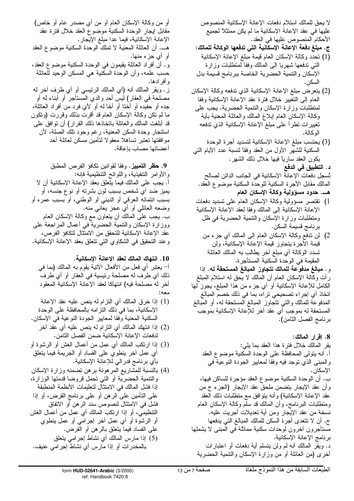لا يحق للمالك استلام دفعات الإعانة الإسكانية المنصوص عليها في عقد الإعانة الإسكانية ما لم يكن ممتثلاً لجميع الأحكام المنصوص عليها في العقد.

- ج. مبلغ دفعة الإعانـة الإسكانيـة التي تدفعها الوكالـة للمالك: (1) تحدد وكالة الإسكان العام قيمة مبلغ الإعانة الإسكانية
- النبي ندفعها شهريا إلىي المالك وفقا لمنطلبات وزارة الإسكان والتتمية الحضرية الخاصة ببرنامج قسيمة بدل السكن.
- (2) بِنَعْرِضْ مَبْلَغْ الإعانة الإسكانية الذي نَدْفِعَه وَكَالَة الإسكان العام إلىي النغبير خلال فنرة عقد الإعانة الإسكانية وفقا لمنطلبات وزارة الإسكان والنتمية الحضرية. يجب على وكالة الإسكان العام إبلاغ المالك والعائلة المعنية بأية تغيير ات تطر أ على مبلغ الإعانة الإسكانية الذي تدفعه الو كالة.
- (3) يحتسب مبلغ الإعانة الإسكانية لتسديد أجرة الوحدة السكنية للشهر الأول من العقد وفقاً لنسبة عدد الأيام التبي يكون العقد سارياً فيها خلال ذلك الشهر . د. التطبيق في الدفع
	- تُسجل دفعات الإعانة الإسكانية في الجانب الدائن لصالح المالك مقابل الأجرة السكنية للوحدة السكنية موضوع العقد.
		- هــــ. حدود مسؤولية وكالـة الإسكان العام
- 1) نقتصر مسؤولية وكالة الإسكان العام على تسديد دفعات الإعانة الإسكانية إلى المالك وفقا لعقد الإعانة الإسكانية ومنطلبات وزارة الإسكان والنتمية الحضرية في ظل برنامج قسيمة السكن.
	- 2) لن ندفع وكالـة الإسكان الـعام إلـى المـالك أي جزء من قيمة الأجرة يتجاوز قيمة الإعانة الإسكانية، ولن تسدد الوكالة أي مبلغ آخر يطالب به المالك العائلة المقيمة في الوحدة السكنية المستأجرة.
- و . مبالغ مدفوعة للمالك تتجاوز المبالغ المستحقة له. إذا رأت وكالة الإسكان العام أن المالك لا يحق له استلام المبلغ الكامل للإعانة الإسكانية أو أي جزء من هذا المملغ، يجوز لمها اتخاذ أي إجراء تصحيحي تراه، بما في ذلك خصم المبالغ المدفوعة للمالك والني نتجاوز المبالغ المستحقة له، أو المُبالغ المستحقة له بموجب أي عقد أخر للإعانة الإسكانية بموجب برنامج الفصل الثامن).

8. إقرار المالك: يقر المالك خلال فترة هذا العقد بما يلي: أ. أنه يتولَّى المحافظة على الوحدة السكنية موضوع العقد والمبنى الذي نوجد فيه وفقا لمعايير الجودة النوعية في الاسكان. ب. أن الوحدة السكنية موضوع العقد مؤجرة للساكن فيها، وأن عقد الإيجار ينضمن ملحق عقد الإيجار (الـجزء ج من عقد الإعانة الإسكانية) وأنه يتوافق مع متطلبات ذلك العقد ومنطلبات البرنامج، وأن المالك قد سلم وكالة الإسكان العام نسخة من عقد الإيجار ومن أية تعديلات أجريت عليه. ج. أن لا نتحدى أجرة السكن للمالك المبالغ التي يدفعها مستأجرون أخرون لوحدات سكنية مماثلة فمي المبنى لا يشملها برنامج الإعانة الإسكانية. د. ويقر المالك أنه لم ولن يتسلم أية دفعات أو اعتبارات أخرى (من العائلة أو من وزارة الإسكان والنتمية الحضرية

أو من وكالة الإسكان العام أو من أي مصدر عام أو خاص) مقابل إيجار الوحدة السكنية موضوع العقد خلال فترة عقد الإعانة الإسكانية، فيما عدا مبلغ الإيجار. هـــ. أن العائلة المعنية لا نملك الوحدة السكنية موضوع العقد أو أي جزء منها. و . أن أفراد الـعائلـة يقيمون فـي الوحدة السكنيـة موضـوع الـعقد، حسب علمه، وأن الوحدة السكنية هي المسكن الوحيد للعائلة و أفر ادها. ز . ويقر المالك أنه (أي المالك الرئيسي أو أي طرف أخر له مصلحة في العقار) ليس أحد والدي المستأجر أو أبناء له أو جده أو حفيده أو أخنا أو أخا له أو لأي فرد من أفراد العائلة، ما لم نكن وكالة الإسكان العام قد أقرت بذلك وقررت (ونكون قد أبلغت المالك والعائلة بانخاذها ذلك القرار) أن نوافقٌ على استئجار وحدة السكن المعنية، رغم وجود نلك الصلة، لأن مو افقتها تعتبر نساهلا معقولا لتأمين مسكن لعائلة أحد أعضائها مصاب بإعاقة.

9. حظر التمييز. وفقا لقوانين تكافؤ الفرص المطبق و الأو امر التتفيذية، و اللو ائح التنظيمية فإنـه: أ. يجب على المالك فيما يتعلق بعقد الإعانة الإسكانية أن لا يميز ضد أي شخص بسبب لون بشرته أو نوع جنسه، أو بسبب انتمائه العرقي أو الديني أو الوطني، أو بسبب عمره أو وضعه العائلي أو أي عجز يعاني منه. ب. يجب علىي المالك أن يتعاون مع وكالمة الإسكان العام ووزارة الإسكان والنتمية الحضرية في أعمال المراجعة على عقد الإعانة الإسكانية للتحقق من الامتثال لتكافؤ الفرص، وعند النحقيق في الشكاوي التي نتعلق بعقد الإعانة الإسكانية.

10. انتهاك المالك لعقد الإعانة الإسكانية.

أ– يعتبر أي فعل من الأفعال الأنية يقوم به المالك (بما في ذلك أي طرف له مصلحة رئيسية في العقار أو أي طرف أخر له مصلحة فيه) انتهاكا لعقد الإعانة الإسكانية المعقود

- (1) إذا خرق المالك أي النزام له ينص عليه عقد الإعانة الإسكانية، بما في ذلك النز امه بالمحافظة على الوحدة السكنية المعنية وفقا لمعايير الجودة النوعية في الإسكان.
	- (2) إذا انتهك المالك أي النزام له ينص عليه أي عقد آخر لدفعات الإعانة الإسكانية ضمن الفصل الثامن.
- (3) إذا ارتكب المالك أي عمل من أعمال الغش أو الرشوة أو أي عمل أخر ينطوي على الفساد أو الـجريمة فيما يتعلق بأي برنامج فدر الى للإعانة الإسكانية.
- (4) بالنسبة للمشاريع المرهونة برهن تضمنه وزارة الإسكان والنتمية الحضرية أو التي تحمل قروضا قدمتها الوزارة، إذا فشل المالك في الامتثال لتعليمات الأنظمة المنطبقة علمي النَّامين علمي الرَّهن أو علمي برنامج القرض، أو إذا فشل في الامتثال لنصوص سند الرهن أو الاتفاق التنظيمي، أو إذا ارتكب المالك أي عمل من أعمال الغش أو الرشوة أو أي عمل أخر إجرامي أو عمل ينطوي على الفساد فيما يتعلق بالرهن أو القرض. (5) إذا مارس المالك أي نشاط إجرامي يتعلق
- بالمخدرات أو إذا مارس أي نشاط إجرامي عنيف.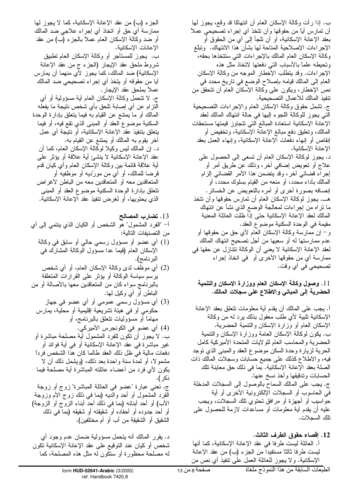ب. إذا رأت وكالَّة الإسكان العام أن انتهاكا قد وقع، يجوز لمها أن تمارس أياً من حقوقها وأن نتخذ أي إجراء تصحيحي عملأ الإجراءات الإصلاحية المتاحة لـها بشأن هذا الانتهاك. وتبلُّغ وكالة الإسكان العام المالك بالإجراءات التي ستتخذها بحقه، ونحيطه علماً بالأسباب النبي دفعتها لاتخاذ مثل هذه الإجراءات. وقد يتطلب الإخطار الموجه من وكالة الإسكان العام إلى المالك قيامه بإصلاح الوضع في ناريخ محدد في نص الإّخطار، ويكون على وكالة الإسكان العامّ أن تتحققٌ من نتفيذ المالك للأعمال التصحيحية. ج. نشمل حقوق وكالة الإسكان العام والإجراءات النصحيحية التي يجوز للوكالة اللجوء إليها في حالة انتهاك المالك لعقد الإعانة الإسكانية استعادة المبالغ التي نتجاوز قيمتها مستحقات المالك، وتعليق دفع مبالـغ الإعانـة الإسكانيـة، وتخفيض أو انقاص أو إنهاء دفعات الإعانة الإسكانية، وإنهاء العمل بعقد الإعانة الإسكانية. د. يجوز لوكالة الإسكان العام أن تسعى إلى الحصول على علاج أو نعويض إضافي أخر، وذلك عن طريق امر او إجراء قضائي أخر، وقد يتضمن هذا الأمر القضائي إلزام المالك بأداء محدد، أو منعه من القيام بسلوك محدد، أو إنصافه بصورة أخرى أو أمره بالنعويض عن الخسائر . هـــ. يجوز لوكالة الإسكان العام أن تمارس حقوقها وأن تتخذ ما نراه من إجراءات لمعالجة الوضع الذي نشأ عن انتهاك المالك لعقد الإعانة الإسكانية حتى إذا ظلت العائلة المعنية مقيمة في الوحدة السكنية موضوع العقد. و− إن ممارسة وكالة الإسكان العام لأي حق من حقوقها أو عدم ممارستها له أو سعيها من أجل تصحيح انتهاك المالك لعقد الإعانة الإسكانية لا يعني أن الوكالة تتتازل عن حقها في ممارسة أي من حقوقها الأخرى أو في اتخاذ إجراء تصحيحي في أي وقت.

11. وصول وكالـة الإسكان الـعام ووزارة الإسكان والتنميـة الحضرية إلى المباني والاطلاع على سجلات المالك.

أ. يجب على المالك أن يقدم أية معلومات نتعلق بعقد الإعانة الإسكانية نلبية لأي طلب معقول بذلك يرد له من وكالة الإسكان العام أو وزارة الإسكان والتنمية الحضرية. ب. يكون لوكالة الإسكان العامة ووزارة الإسكان والنتمية الحضرية والمحاسب العام للولايات المتحدة الأميركية كامل الحرية لزيارة وحدة السكن موضوع العقد والمبنى الذي نوجد فيه، والاطلاع كذلك على جميع حسابات وسجلات المالك ذات الصلة بعقد الإعانة الإسكانية. بما في ذلك حق معاينة نلك الحسابات وندقيقها وأخذ نسخ عنها. ج. يجب على المالك السماح بالوصول إلى السجلات المدخلة في الحاسوب أو السجلات الإلكترونية الأخرى أو أية حواسيب أو أجهزة أو مرافق نحتوي نلك السجلات، ويجب عليه أن يقدم أية معلومات أو مساعدات لازمة للحصول على نلك السجلات.

12. إقصاء حقوق الطرف الثالث. أ. العائلة ليست طرفا في عقد الإعانة الإسكانية، كما أنها ليست طرفا ثالثًا مستفيدًا من الجزء (ب) من عقد الإعانة الإسكانية. ولا يجوز للعائلة العمل على نتفيذ أي نص من

الإعانات الإسكانية. ب. يجوز للمستأجر أو وكالة الإسكان العام تطبيق شروط ملحق عقد الإيجار (الجزء ج من عقد الإعانة الإسكانية) ضد المالك، كما يجوز لأي منهما أن يمارس أيا من حقوقه أو يتخذ أي إجراء تصحيحي ضد المالك عملاً بملحق عقد الإيجار . ج. لا نتنحمل وكالة الإسكان العام أية مسؤولية أو أي النزام عن أي إصابة نلحق بأي شخص نتيجة ما يفعله المالك أو ما يمتنع عن القيام به فيما يتعلق بإدارة الوحدة السكنية موضوع العقد أو المبنى الذي نقع فيه، أو فيما يتعلَّق بتنفيذ عقد الإعانة الإسكانية، أو نتيجة أي عمل أخر يقوم به المالك أو يمنتع عن القيام به. د. إن المالك ليس وكيلا لوكالة الإسكان العام، كما أن عقد الإعانة الإسكانية لا ينشئ أية علاقة أو يؤثر على أية علاقة قائمة بين وكالة الإسكان العام وأي كيان قدم قرضا للمالك، أو أي من موردِّيه أو موظَّفيه أو المتعاقدين معه أو المتعاقدين معه من الباطن لأغراض نتعلق بإدارة الوحدة السكنية موضوع العقد أو المبنى الذي يحتويها، أو لغرض نتفيذ عقد الإعانة الإسكانية.

الْجَزَّءِ (ب) من عقد الإعانة الإسكانية، كما لا يجوز لها

ممارسة أي حق أو اتخاذ أي إجراء علاجي ضد المالك

أو ضد وكالة الإسكان العام عملاً بالجزء (ب) من عقد

- 13. تضارب المصالح أ– "الفرد المشمول" هو الشخص أو الكيان الذي ينتمي إلى أي من التصنيفات التالية:
	- (1) أي عضو أو مسؤول رسمي حالي أو سابق في وكالمة الإسكان العام (فيما عدا مسؤول الوكالة المشارك في البرنامج).
- (2) أي موظف لدى وكالمة الإسكان العام، أو أي شخص برسم سياسة الوكالة أو يؤثر على القرارات المتعلقة بالبرنامج سواء كان من المتعاقدين معها بالأصالة أو من الباطن أو أي وكيل لمها.
	- (3) أي مسؤول رسمي عمومي أو أي عضو في جهاز حكومي أو في هيئة تشريعية إقليمية أو محلية، يمارس مهاماً أو مسؤوليات نتعلق بالبرنامج، أو

(4) أي عضو في الكونجرس الأميركي. ب. لا يجوز أن نكون للفرد المشمول أية مصلحة مباشرة أو غير مباشرة في عقد الإعانة الإسكانية أو في أية فوائد أو دفعات مالية في ظل ذلك العقد طالما كان هذا الشخص فرداً مشمو لا، أو لمدة سنة واحدة بعد ذلك، (ويشمل ذلك أن لا يكون لأي فرد من أعضاء عائلته المباشرة أية مصلحة فيما ذكر ). ج. نعني عبارة "عضو في العائلة المباشرة" زوج أو زوجة الفرد المشمول أو أحد والديه (بما في ذلك زوج الأم وزوجة الأب) أو أحد أبنائه (بما في ذلك أحد أبناء الزوج أو الزوجة) أو أحد جدوده أو أحفاده أو شقيقته أو شقيقه (بما في ذلك الشقيق أو الشقيقة من أب أو أم مختلفين).

د. يقرر المالك أنه يتحمل مسؤولية ضمان عدم وجود أي شخص أو كيان عند التوقيع على عقد الإعانة الإسكانية تكون له مصلحة محظورة أو سنكون له مثل هذه المصلحة، كما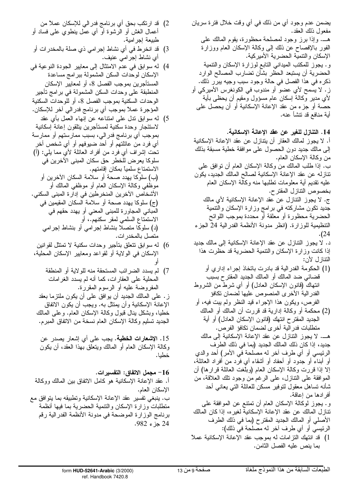يضمن عدم وجود أي من ذلك في أي وقت خلال فترة سريان مفعول ذلك العقد. هـــ. وإذا برز وجود لمصلحة محظورة، يقوم المالك على الفور بالإفصاح عن ذلك إلى وكالة الإسكان العام ووزارة الإسكان والنتمية الحضرية الأميركية. و. يجوز للمكتب الميداني النابع لوزارة الإسكان والنتمية الحضرية أن يستبعد الحظر بشأن تضارب المصالح الوارد ذكر ه في هذا الفصل في حالة وجود سبب وجيه ببرر ذلك. ز . لا يسمح لأي عضو ً أو مندوب في الكونغرس الأميركي أو لأي مدير وكالمة إسكان عام مسؤول ومقيم أن يحظى بأية حصنة أو جزء من عقد الإعانة الإسكانية أو أن يحصل على أية منافع قد نتشأ عنه.

14. التنازل للغير عن عقد الإعانة الإسكانية. أ. لا يجوز لمالك العقار أن يتنازل عن عقد الإعانة الإسكانية إلى مالك جديد دون الحصول على موافقة خطية مسبقة بذلك من وكالمة الإسكان العام. ب. إذا طلب المالك من وكالة الإسكان العام أن نوافق على نتازله عن عقد الإعانة الإسكانية لصالح المالك الجديد، يكون عليه نقديم أية معلومات نطلبها منه وكالة الإسكان العام بخصوص التتازل المقترح. ج. لا يجوز النتازل عن عقد الإعانة الإسكانية لأي مالك جديد نكون مشاركته في برامج وزارة الإسكان والنتمية الحضرية محظورة أو معلقة أو محددة بموجب اللوائح التنظيمية للوزارة. (انظر مدونة الأنظمة الفدرالية 24 الجزء .(24 د. لا يجوز النتازل عن عقد الإعانة الإسكانية إلى مالك جديد إذا كانت وزارة الإسكان والنتمية الحضرية قد حظرت هذا النتازل لأن: (1) الحكومة الفدرالية قد بادرت باتخاذ إجراء إداري أو قضائي ضد المالك أو المالك الجديد المقتر ح بسبب انتهاك (قانون الإسكان العادل) أو أي شرط من الشروط الفدر الية الأخرى المنصوص عليها لضمان تكافؤ الفرص، ويكون هذا الإجراء قيد النظر ولم ببت فيه، أو (2) محكمة أو وكالة إدارية قد قررت أن المالك أو المالك الجديد المقترح انتهك (قانون الإسكان العادل) أو أية متطلبات فدر الية أخر ى لضمان تكافؤ الفرص. هـــ. لا يجوز النتازل عن عقد الإعانة الإسكانية إلى مالك جديد، إذا كان ذلك المالك الجديد (بما في ذلك الطرف الرئيسي أو أي طرف أخر له مصلحة في الأمر) أحد والدي أو أبناء أو جدود أو أحفاد أو أشقاء أي فرد من أفراد العائلة، إلا إذا قررت وكالة الإسكان العام (وبلغت العائلة قرارها) أن الموافقة على النتازل، على الرغم من وجود نلك العلاقة، من شأنه تساهل معقول لنوفير مسكن للعائلة التبي يعانبي أحد أفر ادها من إعاقة. و . يجوز لوكالة الإسكان العام أن تمتنع عن الموافقة على نتازل المالك عن عقد الإعانة الإسكانية لغير ه، إذا كان المالك الأصلي أو المالك الجديد المقترح (بما في ذلك الطرف الرئيسي أو أي طرف أخر له مصلحة في ذلك): 1) قد انتهك النز امات له بموجب عقد الإعانة الإسكانية عملاً بما ينص عليه الفصل الثامن.

- 2) قد ارتكب بحق أي برنامج فدر الى للإسكان عملاً من أعمال الغش أو الرشوة أو أي عمل ينطوي على فساد أو طبيعة إجرامية.
- 3) قد انخرط في أي نشاط إجرامي ذي صلة بالمخدر ات أو أى نشاط إجر امي عنيف.
- 4) لمه سو ابق في عدم الامتثال إلى معايير الجودة النو عية في الإسكان لوحدات السكن المشمولة ببرامج مساعدة المستأجرين بموجب الفصل 8، أو لمعايير الإسكان المنطبقة على وحدات السكن المشمولة في بر امج نأجير الوحدات السكنية بموجب الفصل 8، أو للوحدات السكنية المؤجرة عملاً بموجب أي برنامج فدر الي آخر للإسكان.
- 5) لمه سوَّابق نذل على امتناعه عن إنهاء العمل بأي عقد لاستئجار وحدة سكنية لمستأجرين يتلقون إعانة إسكانية بموجب أي برنامج فدرالي، بسبب ممارستهم أو ممارسة أي فرد من عائلتهم أو أحد ضيوفهم أو أي شخص أخر تحت إشراف أي فرد من أفراد العائلة لأي مما يلي: (أ) سلوكا يعرض للخطر حق سكان المبنى الآخرين في الاستمتاع سلمياً بمكان إقامتهم. (ب) سلوكا يهدد صحة أو سلامة السكان الآخرين أو موظفي وكالة الإسكان العام أو موظفي المالك أو الأشخاص الآخرين المنخرطين في إدار ة المبنى السكني. (ج) سلوكا بهدد صحة أو سلامة السكان المقيمين في المباني المجاورة للمبنى المعنى أو يهدد حقهم في الاستمتاع السلمي لمقر سكنهم.، أو (د) سلوكا متصلاً بنشاط إجرامي أو بنشاط إجرامي متصل بالمخدر ات.
- 6) له سو ابق نتعلق بتأجير و حدات سكنية لا تمتثل لقو انين الإسكان في الولاية أو لقواعد ومعايير الإسكان المحلية،
	- 7) لم يسدد الضررائب المستحقة منه للولاية أو المنطقة المحلية على العقارات، كما أنه لم يسدد الغرامات المفروضة عليه أو الرسوم المقررة.

ز . على المالك الجديد أن يوافق على أن يكون ملتزما بعقد الإعانة الإسكانية وأن يمتثل به. ويجب أن يكون الاتفاق خطيا، وبشكل بنال قبول وكالة الإسكان العام. وعلى المالك الجديد تسليم وكالة الإسكان العام نسخة من الاتفاق المبرم.

15. الإ**شعارات الخطية.** يجب على أي إشعار يصدر عن وكالة الإسكان العام أو المالك ويتعلق بهذا العقد، أن يكون خطيا.

16– مجمل الاتفاق: التفسيرات. أ. عقد الإعانة الإسكانية هو كامل الاتفاق بين المالك ووكالة الإسكان العام. ب. ينبغي نفسير عقد الإعانة الإسكانية ونطبيقه بما ينوافق مع متطلبات وزارة الإسكان والتتمية الحضرية بما فيها أنظمة برنامج الوزارة الموضحة في مدونة الأنظمة الفدرالية رقم 24 جزء 982.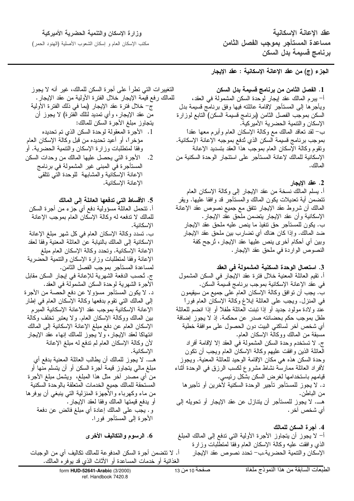وزارة الإسكان والتنمية الحضرية الأميركية

مكتب الإسكان العام و إسكان الشعوب الأصلية (الهنود الحمر)

عقد الاعانة الاسكانية مساعدة المستأجر بموجب الفصل الثامن برنامج قسيمة بدل السكن

الجزء (ج) من عقد الإعانـة الإسكانيـة : عقد الإيجار

1. الفصل الثامن من برنامج قسيمة بدل السكن أ– ببر م المالك عقد إيجار لوحدة السكن المشمولة في العقد، ويأجرها إلىي المستأجر لإقامة عائلته فيها وفق برنامج قسيمة بدل السكن بموجب الفصل الثامن (برنامج فسيمة السكن) النابع لوزارة الإسكان والتتمية الحضرية الأميركية. ب– لقد نعاقد المالك مع وكالمة الإسكان العام وأبرم معها عقداً بموجب برنامج قسيمة السكن الذي تُدفع بموجبه الإعانة الإسكانية. ونقوم وكالة الإسكان العام بموجب هذا العقد بتسديد الإعانة الإسكانية للمالك لإعانة المستأجر على استئجار الوحدة السكنية من أأم أأأق

2. عقد الإيجار

أ. يسلم المالك نسخة من عقد الإيجار إلى وكالة الإسكان العام نتضمن أية نعديلات يكون المالك والمستأجر قد وافقا عليها. ويقر المالك أن شروط عقد الإيجار نتفق مع جميع نصوص عقد الإعانة الإسكانية وأن عقد الإيجار بنضمن ملحق عقد الإيجار. ب. يكون للمستأجر حق نتفيذ ما ينص عليه ملحق عقد الإيجار ضد المالك. وإذا كان هناك أي نضارب بين ملحق عقد الإيجار وبين أي أحكام أخرى ينص عليها عقد الإيجار، ثرجح كفة النصوص الواردة في ملحق عقد الإيجار .

## 3. استعمال الوحدة السكنية المشمولة في العقد

أ. نقيم العائلة المعنية خلال فترة عقد الإيجار في السكن المشمول في عقد الإعانة الإسكانية بموجب برنامج قسيمة السكن. ب. يجب أن نوافق وكالة الإسكان العام على جميع من سيقيمون في المُنزل. ويَجب علي العائلة إبلاغ وكالة الإسكان العام فوراً عند ولادة مولود جديد أو إذا ننبنت العائلة طفلاً أو إذا انضم للعائلة طفل بموجب حكم بحضانته صدر ٍ عن محكمة. إذ لا يجوز إضافة أي شخص أخر لساكني البيت دون الحصول على موافقة خطية مسبقة من المالك ووكالة الإسكان العام. ج. لا تستخدم وحدة السكن المشمولة في العقد إلا لإقامة أفراد العائلة الذين وافقت عليهم وكالمة الإسكان العام ويجب أن نكون وحدة السكن هذه هي مكان الإقامة الوحيد للعائلة المعنية. ويجوز لأفراد العائلة ممارسة نشاط مشروع لكسب الرزق في الوحدة أثناء قيامهم باستخدامها لغرض السكن بشكل رئيسي. د. لا يجوز للمستأجر تأجير الوحدة السكنية لأخرين أو تأجيرها من الباطن. هـــ. لا يجوز للمستأجر أن يتنازل عن عقد الإيجار أو تحويله إلى أي شخص آخر .

4. أجرة السكن للمالك أ– لا يجوز أن يتجاوز الأجرة الأولية التي تدفع إلى المالك المبلغ الذي وافقت عليه وكالة الإسكان العام وفقا لمتطلبات وزارة الإسكان والتتمية الحضرية.ب-تحدد نصوص عقد الإيجار

التغيير ات التي تطرأ على أجرة السكن للمالك، غير أنه لا يجوز للمالك رفع قيمة الإيجار خلال الفترة الأولية من عقد الإيجار . ج– خلال فنرة عقد الإيجار (بما في ذلك الفترة الأولية من عقد الإيجار، وأي تمديد لنلك الفترة) لا يجوز أن

يتجاوز مبلغ الأجرة السكن للمالك:

- 1. الأجر ة المعقولة لوحدة السكن الذي تم تحديده مؤخرًا، أو أعيد تحديده من قبل وكالة الإسكان العام وفقا لمنطلبات وزارة الإسكان والنتمية الحضرية. أو
- 2. الأجرة التي يحصل عليها المالك من وحدات السكن المستأجرة في المبنى غير المشمولة في برنامج الإعانة الإسكانية والمشابهة للوحدة التي تتلقى الاعانة الاسكانبة.

## 5. الأقساط التي تدفعها العائلة إلى المالك

أ. نتحمل العائلة مسؤولية دفع أي جزء من أجرة السكن للمالك لا ندفعه له وكالة الإسكان العام بموجب الإعانة الإسكانية. ب. تسدد وكالَّة الإسكان العام في كلِّ شهرٍ مبلَّغ الإعانة الإسكانية إلىي المالك بالنيابة عن العائلة المعنية وفقا لعقد الإعانة الإسكانية. وتحدد وكالة الإسكان العام مبلغ الإعانة وفقا لمنطلبات وزارة الإسكان والنتمية الحضرية لمساعدة المستأجر بموجب الفصل الثامن. ج. تُحسب الدفعة الشهرية للإعانة في إيجار السكن مقابل الأجرة الشهرية لوحدة السكن المشمولة في العقد. د. لا يكون المستأجر مسؤولا عن دفع الحصة من الأجرة إلى المالك التي نقوم بدفعها وكالة الإسكان العام في إطار الإعانة الإسكانية بموجب عقد الإعانة الإسكانية المبرم بين المالك ووكالة الإسكان العام. ولا يعتبر نخلف وكالة الإسكان العام عن دفع مبلغ الإعانة الإسكانية إلى المالك انتهاكا لعقد الإيجار، ولا يجوز للمالك إنهاء عقد الإيجار لأن وكالة الإسكان العام لم ندفع له مبلغ الإعانة الإسكانية. هــــ. لا يجوز للمالك أن يطالب العائلة المعنية بدفع أي مبلغ مالي يتجاوز قيمة أجرة السكن أو أن يتسلم منها أو .<br>من أي مصدر آخر مثل هذا المبلغ، ويشمل مبلغ الأجرة المستحقة للمالك جميع الخدمات المتعلقة بالوحدة السكنية من ماء وكهرباء والأجهزة المنزلية التي ينبغي أن يوفرها أو يدفع قيمتها المالك وفقا لعقد الإيجار . و . يجب على المالك إعادة أي مبلغ فائض عن دفعة الأجرة إلى المستأجر فورا.

6. الرسوم والتكاليف الأخرى

أ. لا نتضمن أجرة السكن المدفوعة للمالك نكاليف أي من الوجبات الغذائية أو خدمات المساعدة أو الأثاث الذي قد يوفره المالك.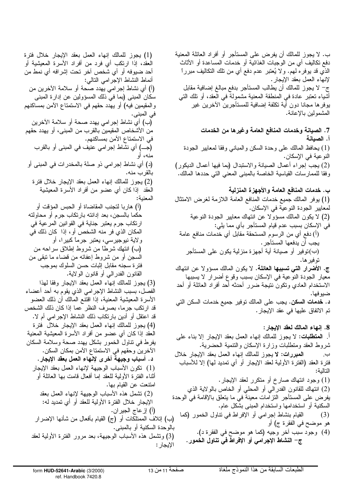ب. لا يجوز للمالك أن يفرض على المستأجر أو أفراد العائلة المعنية دفع نكاليف أي من الوجبات الغذائية أو خدمات المساعدة أو الأثاث الذي قد يوفر ه لمهم. ولا يُعتبر عدم دفع أي من نلك النكاليف مبرراً لإنهاء العمل بعقد الإيجار . ج– لا يجوز للمالك أن يطالب المستأجر بدفع مبالغ إضافية مقابل أشياء نعتبر عادة في المنطقة المعنية مشمولةً في الْعقد، أو نلك الني بوفرها مجانا دون أية تكلفة إضافية للمستأجرين الأخرين غير المشمولين بالإعانة.

7. الصيانـة وخدمات المنافـع الـعامـة وغير ها من الخدمات أ. الصبانة (1) بحافظ المالك على وحدة السكن والمباني وفقا لمعابير الجودة النوعية في الإسكان. (2) يجب إجراء أعمال الصيانة والاستبدال (بما فيها أعمال الديكور) وفقا للممارسات القياسية الخاصة بالمبنى المعنى التي حددها المالك.

ب. خدمات المنافع العامة والأجهزة المنزلية (1) يوفر المالك جميع خدمات المنافع العامة اللازمة لغرض الامتثال لمعايير الجودة النوعية في الإسكان. (2) لا يكون المالك مسؤولا عن انتهاك معايير الجودة النوعية في الإسكان بسبب عدم قيام المستأجر بأي مما يلي: (أ) دفع أي من الرسوم المستحقة مقابل أي خدمات منافع عامة يجب أن يدفعها المستأجر . (ب)نوفير أو صيانة أية أجهزة منزلية يكون على المستأجر تو فير ها. ج. الأضرار التـَّى تسببـها الـعائلـة. لا يكون المالك مسؤولا عن انتهاك معيار الجودة النوعية في الإسكان بسبب وقوع أضرار لا يسببها الاستخدام العادي وتكون نتيجة ضرر أحدثه أحد أفراد العائلة أو أحد ضيوفها. د. خدمات السكن. يجب على المالك نوفير جميع خدمات السكن التي تم الاتفاق عليها في عقد الإيجار .

8. إنهاء المالك لعقد الإيجار : أ. ا**لمتطلبات:** لا يجوز للمالك إنهاء العمل بعقد الإيجار إلا بناء على شروط العقد ومنطلبات وزارة الإسكان والنتمية الحضرية. المعبررات: لا يجوز للمالك إنهاء العمل بعقد الإيجار خلال ب. فترة العقد (الفترة الأولية لعقد الإيجار أو أي تمديد لها) إلا للأسباب النالية: (1) وجود انتهاك صارخ أو منكرر لعقد الإيجار . (2) انتهاك للقانون الفدرالـي أو المحلـي أو الـخاص بـالولايـة الذي يفرض على المستأجر النزامات معينة في ما يتعلق بالإقامة في الوحدة السكنية أو استخدامها واستخدام المبنبي بشكل عام. القيام بنشاط إجرامي أو الإفراط في نتاول الخمور (كما  $(3)$ هو موضح في الفقرة ج) أو (4) وجود سبب أخر وجيه (كما هو موضح في الفقرة د). ج– النشاط الإجرامي أو الإفراط في تناول الخمور.

(1) يجوز للمالك إنهاء العمل بعقد الإيجار خلال فترة العقد، إذا ارتكب أي فرد من أفراد الأسرة المعيشية أو أحد ضيوفه أو أي شخص أخر تحت إشرافه أي نمط من أنماط النشاط الإجر امي النالي: (أ) أي نشاط إجرامي يهدد صحة أو سلامة الآخرين من سكان المبنى (بما في ذلك المسؤولين عن إدارة المبنى والمقيمين فيه) أو يهدد حقهم في الاستمتاع الأمن بمساكنهم في المبني. (ب) أي نشاط إجرامي يهدد صحة أو سلامة الآخرين من الأشخاص المقيمين بالقرب من المبنى، أو يهدد حقهم في الاستمتاع الأمن بمساكنهم. (جـــ) أي نشاط إجرامي عنيف في المبنى أو بالقرب منه، أو (د) أي نشاط إجرامي ذو صلة بالمخدرات في المبنى أو بالقرب منه. (2) يجوز للمالك إنهاء العمل بعقد الإيجار خلال فنز ة العقد ً إذا كان أي عضو من أفراد الأسرة المعيشية المعنىة: (أ) هاربا لتجنب المقاضاة أو الحبس المؤقت أو حكما بالسجن، بعد إدانته بارتكاب جرم أو محاولته ارتكاب جرم يعتبر جناية في القوانين المرعية في المكان الذي فر منه الشخص أو ، إذا كان ذلك في ولاية نيوجيرسي، يعتبر جرماً كبيرا، أو (ب) انتهك شرطًا من شروط إطلاق سراحه من السجن أو من شروط إعفائه من قضاء ما نبقى من فترة سجنه مقابل إثبات حسن السلوك بموجب القانون الفدرالـي أو قانون الولايـة. (3) يجوز للمالك إنهاء العمل بعقد الإيجار وفقا لهذا الْفَصَل، بسبب النشاط الإجرامي الذي يقوم به احد اعضاء الأسرة المعيشية المعنية، إذا اقتنع المالك أن ذلك العضو قد ارتكب جرما، بصرف النظر عما إذا كان ذلك الشخص قد اعتقل أو أدين بارتكاب ذلك النشاط الإجرامي أم لا. (4) يجوز للمالك إنهاء العمل بعقد الإيجار خلال فترة العقد إذا كان أي عضو من أفراد الأسرة المعيشية المعنية يفرط في نتاول الخمور بشكل يهدد صحة وسلامة السكان الأخرين وحقهم في الاستمتاع الأمن بمكان السكن. د. أسباب وجيهة أخرى لإنهاء العمل بعقد الإيجار. (1) نكون الأسباب الوجيهة لإنهاء العمل بعقد الإيجار أنثـاء الفترة الأولية للعقد إمـا أفعال قامت بـها الـعائلة أو امتتعت عن القيام بها. (2) نشمل هذه الأسباب الوجيهة لإنهاء العمل بعقد الإيجار خلال الفتر ة الأولية للعقد أو أي تمديد له: (أ) إز عاج الجير ان. (ب) إنلاف الممتلكات أو (ج) القيام بأفعال من شأنها الإضرار بَالوحدة السكنية أو بالمبنى. (3) وتشمل هذه الأسباب الوجيهة، بعد مرور الفترة الأولية لعقد الإيجار :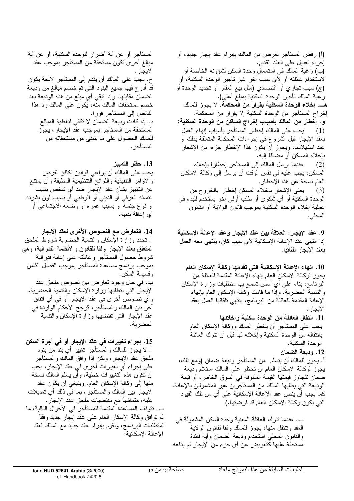المستأجر أو عن أية أضرار للوحدة السكنية، أو عن أية (أ) رفض المستأجر لعرض من المالك بـإبر ام عقد إيجار جديد، أو مبالغ أخرى نكون مستحقة من المستأجر بموجب عقد إجراء نعديل على العقد القديم. (ب) رغبة المالك في استعمال وحدة السكن لشؤونه الخاصة أو الإيجار . لاستخدام عائلته أو لّأي سبب آخر غير تأجير الوحدة السكنية، أو ج. يجب على المالك أن يقدم إلى المستأجر لائحة يكون قد أدرج فيها جميع البنود التبي تم خصم مبالغ من وديعة الضمان مقابلها. وإذا نَبقى أي مبلغ من هذه الوديعة بعد خصم مستحقات المالك منه، يكون على المالك رد هذا الفائض إلى المستأجر فورا. د. إذا كانت وديعة الضمان لا تكفي لتغطية المبالغ المستحقة من المستأجر بموجب عقد الإيجار، يجوز للمالك الحصول على ما يتبقى من مستحقاته من المستأجر . 13. حظر التمييز يجب على المالك أن يراعي قوانين نكافؤ الفرص

والأوامر النتفيذية واللوائح النتظيمية المطبقة وأن يمنتع عن التمييز بشأن عقد الإيجار ضد أي شخص بسبب انتمائه العرقبي أو الدينبي أو الوطنبي أو بسبب لون بشرته أو نوع جنسه أو بسبب عمره أو وضعه الاجتماعي أو أي إعاقة بدنية.

14. التعارض مع النصوص الأخرى لعقد الإيجار أ. تحدد وزارة الإسكان والنتمية الحضرية شروط الملحق المتعلق بعقد الإيجار وفقا للقانون والأنظمة الفدرالية، وهي شروط حصول المستأجر وعائلته علىى إعانة فدرالية بموجب برنامج مساعدة المستأجر بموجب الفصل الثامن وقسيمة السكن. ب. في حال وجود تعارض بين نصوص ملحق عقد الإيجار التى نتطلبها وزارة الإسكان والنتمية الحضرية، وأي نصوص أخرى في عقد الإيجار أو في أي اتفاق أخر بين المالك والمستأجر ، تُرجح الأحكام الواردة في عقد الإيجار التبي نقتضبها وزارة الإسكان والتتمية الحضرية.

15. إجراء تغييرات في عقد الإيجار أو في أجرة السكن أ. لا يجوز للمالك والمستأجر تغيير أي بند من بنود ملحق عقد الإيجار، ولكن إذا وإفق المالك والمستأجر على إجراء أي تغييرات أخرى في عقد الإيجار ، يجب أن نكون هذه النغييرات خطية، وأن بسلَّم المالك نسخة منها إلى وكالة الإسكان العام. وينبغي أن يكون عقد الإيجار بين المالك والمستأجر، بما في ذلك أي تعديلات عليه، متماشياً مع مقتضيات ملحق عقد الإيجار. ب. نتوقف المساعدة المقدمة للمستأجر في الأحوال التالية، ما لم نو افق وكالة الإسكان العام على عقد إيجار جديد وفقاً لمنطلبات البرنامج، ونقوم بابر ام عقد جديد مع المالك لعقد الإعانة الإسكانية: (ج) سبب تجاري أو اقتصادي (مثل بيع العقار أو تجديد الوحدة أو رْغْبَة المالك نأجير الوحدة السكنية بمبلغ أعلى). هـــ. إخلاء الوحدة السكنية بقرار من المحكمة. لا يجوز للمالك إخراج المستأجر من الوحدة السكنية إلا بقرار من المحكمة. و . إخطار من المالك بأسباب إخراج الساكن من الوحدة السكنية: (1) يجب على المالك إخطار المستأجر بأسباب إنهاء العمل بعقد الإيجار قبل الشروع في إجراءات المحكمة المتعلقة بذلك أو عند استهلالها، ويجوز أن يكون هذا الإخطار جزءا من الإشعار بإخلاء المسكن أو مضافاً إليه. (2) عندما يرسل المالك إلى المستأجر إخطاراً بإخلاء المسكن، يجب عليه في نفس الوقت أن يرسل إلى وكالة الإسكان العام نسخة عن هذا الإخطار . (3) يعني الإشعار بإخلاء المسكن إخطارا بالخروج من الوحدة السكنية أو أي شكوى أو طلب أولىي آخر يستخدم للبدء في عملية إخلاء الوحدة السكنية بموجب قانون الولاية أو القانون المحلي.

9. عقد الإيجار : العلاقة بين عقد الإيجار وعقد الإعانة الإسكانية إذا انتهى عقد الإعانة الإسكانية لأي سبب كان، ينتهي معه العمل بعقد الإيجار تلقائيا.

10. إنهاء الإعانة الإسكانية التي تقدمها وكالة الإسكان العام يجوز لوكالة الإسكان العام إنهاء الإعانة المقدمة للعائلة من البرنامج، بناء على أي أسس نسمح بها منطلبات وزارة الإسكان والنتمية الحضرية. وإذا ما قامت وكالة الإسكان العام بإنهاء الإعانة المقدمة للعائلة من البرنامج، ينتهي نلقائياً العمل بعقد الإيجار .

11. انتقال العائلة من الوحدة سكنية وإخلائها يجب على المستأجر أن يخطر المالك ووكالة الإسكان العام بانتقاله من الوحدة السكنية وإخلائه لمها قبل أن نترك العائلة الوحدة السكنية.

12. وديعة الضمان أ. يجوز للمالك أن يتسلَّم ً من المستأجر وديعة ضمان (ومع ذلك، يجوز لوكالة الإسكان العام أن نحظر على المالك استلام وديعة ضمان تتجاوز قيمتها القيمة المألوفة في السوق الخاص، أو قيمة الوديعة التـي يطلبـها المـالك من المستأجرين غير المشمولين بـالإعـانـة. كما يجب أن ينص عقد الإعانة الإسكانية على أي من تلك القيود التي تكون وكالة الإسكان العام قد فرضتها.)

ب. عندما نترك العائلة المعنية وحدة السكن المشمولة في العقد ونتنقل منها، يجوز للمالك وفقا لقانون الولاية والقانون المحلبي استخدام وديعة الضمان وأية فائدة مستحقة عليها كتعويض عن أي جزء من الإيجار لم يدفعه